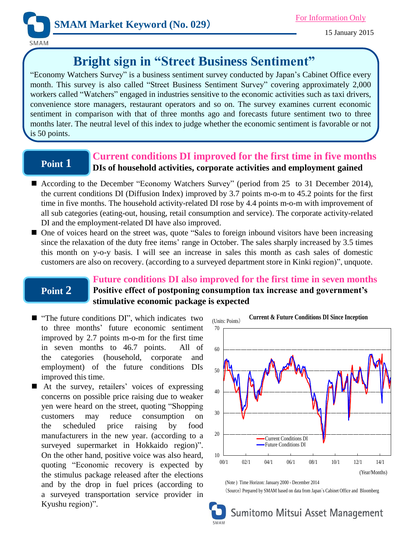

15 January 2015

# **Bright sign in "Street Business Sentiment"**

"Economy Watchers Survey" is a business sentiment survey conducted by Japan's Cabinet Office every month. This survey is also called "Street Business Sentiment Survey" covering approximately 2,000 workers called "Watchers" engaged in industries sensitive to the economic activities such as taxi drivers, convenience store managers, restaurant operators and so on. The survey examines current economic sentiment in comparison with that of three months ago and forecasts future sentiment two to three months later. The neutral level of this index to judge whether the economic sentiment is favorable or not is 50 points.

# **Point 1**

## **Current conditions DI improved for the first time in five months DIs of household activities, corporate activities and employment gained**

- According to the December "Economy Watchers Survey" (period from 25 to 31 December 2014), the current conditions DI (Diffusion Index) improved by 3.7 points m-o-m to 45.2 points for the first time in five months. The household activity-related DI rose by 4.4 points m-o-m with improvement of all sub categories (eating-out, housing, retail consumption and service). The corporate activity-related DI and the employment-related DI have also improved.
- One of voices heard on the street was, quote "Sales to foreign inbound visitors have been increasing since the relaxation of the duty free items' range in October. The sales sharply increased by 3.5 times this month on y-o-y basis. I will see an increase in sales this month as cash sales of domestic customers are also on recovery. (according to a surveyed department store in Kinki region)", unquote.

# **Point 2**

**Future conditions DI also improved for the first time in seven months Positive effect of postponing consumption tax increase and government's stimulative economic package is expected** 

- "The future conditions DI", which indicates two to three months' future economic sentiment improved by 2.7 points m-o-m for the first time in seven months to 46.7 points. All of the categories (household, corporate and employment) of the future conditions DIs improved this time.
- At the survey, retailers' voices of expressing concerns on possible price raising due to weaker yen were heard on the street, quoting "Shopping customers may reduce consumption on the scheduled price raising by food manufacturers in the new year. (according to a surveyed supermarket in Hokkaido region)". On the other hand, positive voice was also heard, quoting "Economic recovery is expected by the stimulus package released after the elections and by the drop in fuel prices (according to a surveyed transportation service provider in Kyushu region)".



(Note ) Time Horizon: January 2000 - December 2014 (Source) Prepared by SMAM based on data from Japan`s Cabinet Office and Bloomberg

Sumitomo Mitsui Asset Management